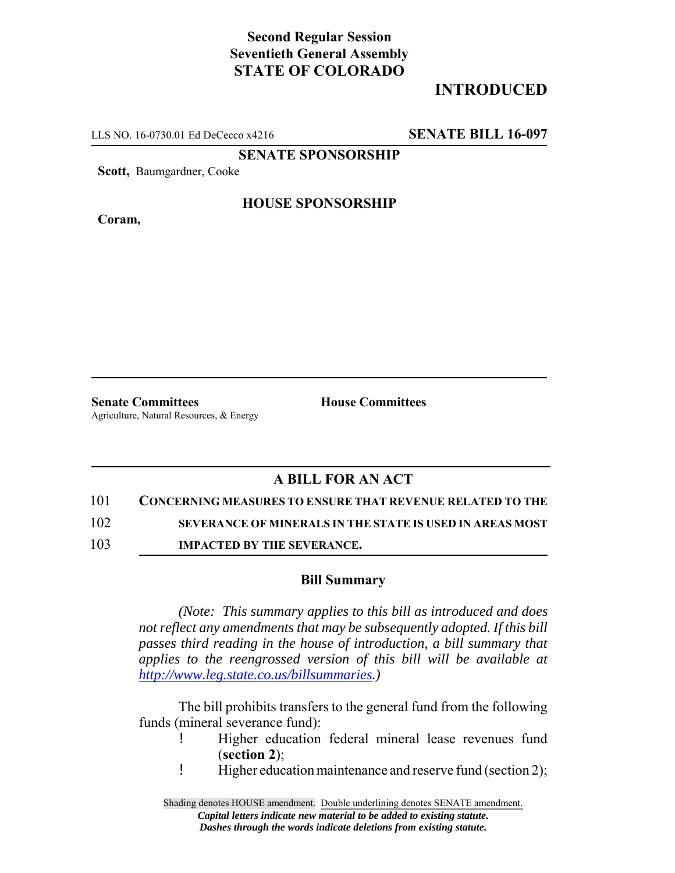## **Second Regular Session Seventieth General Assembly STATE OF COLORADO**

# **INTRODUCED**

LLS NO. 16-0730.01 Ed DeCecco x4216 **SENATE BILL 16-097**

**SENATE SPONSORSHIP**

**Scott,** Baumgardner, Cooke

**Coram,**

### **HOUSE SPONSORSHIP**

**Senate Committees House Committees** Agriculture, Natural Resources, & Energy

## **A BILL FOR AN ACT**

#### 101 **CONCERNING MEASURES TO ENSURE THAT REVENUE RELATED TO THE**

102 **SEVERANCE OF MINERALS IN THE STATE IS USED IN AREAS MOST**

103 **IMPACTED BY THE SEVERANCE.**

#### **Bill Summary**

*(Note: This summary applies to this bill as introduced and does not reflect any amendments that may be subsequently adopted. If this bill passes third reading in the house of introduction, a bill summary that applies to the reengrossed version of this bill will be available at http://www.leg.state.co.us/billsummaries.)*

The bill prohibits transfers to the general fund from the following funds (mineral severance fund):

- ! Higher education federal mineral lease revenues fund (**section 2**);
- ! Higher education maintenance and reserve fund (section 2);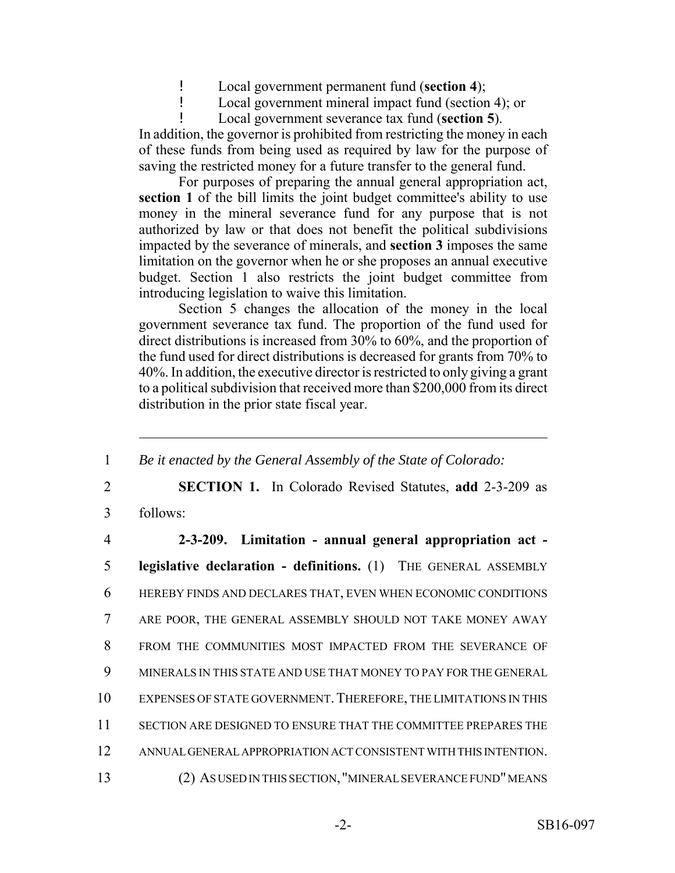! Local government permanent fund (**section 4**);

! Local government mineral impact fund (section 4); or

! Local government severance tax fund (**section 5**).

In addition, the governor is prohibited from restricting the money in each of these funds from being used as required by law for the purpose of saving the restricted money for a future transfer to the general fund.

For purposes of preparing the annual general appropriation act, section 1 of the bill limits the joint budget committee's ability to use money in the mineral severance fund for any purpose that is not authorized by law or that does not benefit the political subdivisions impacted by the severance of minerals, and **section 3** imposes the same limitation on the governor when he or she proposes an annual executive budget. Section 1 also restricts the joint budget committee from introducing legislation to waive this limitation.

Section 5 changes the allocation of the money in the local government severance tax fund. The proportion of the fund used for direct distributions is increased from 30% to 60%, and the proportion of the fund used for direct distributions is decreased for grants from 70% to 40%. In addition, the executive director is restricted to only giving a grant to a political subdivision that received more than \$200,000 from its direct distribution in the prior state fiscal year.

1 *Be it enacted by the General Assembly of the State of Colorado:*

2 **SECTION 1.** In Colorado Revised Statutes, **add** 2-3-209 as 3 follows:

 **2-3-209. Limitation - annual general appropriation act - legislative declaration - definitions.** (1) THE GENERAL ASSEMBLY HEREBY FINDS AND DECLARES THAT, EVEN WHEN ECONOMIC CONDITIONS ARE POOR, THE GENERAL ASSEMBLY SHOULD NOT TAKE MONEY AWAY FROM THE COMMUNITIES MOST IMPACTED FROM THE SEVERANCE OF MINERALS IN THIS STATE AND USE THAT MONEY TO PAY FOR THE GENERAL 10 EXPENSES OF STATE GOVERNMENT. THEREFORE, THE LIMITATIONS IN THIS SECTION ARE DESIGNED TO ENSURE THAT THE COMMITTEE PREPARES THE ANNUAL GENERAL APPROPRIATION ACT CONSISTENT WITH THIS INTENTION.

13 (2) AS USED IN THIS SECTION, "MINERAL SEVERANCE FUND" MEANS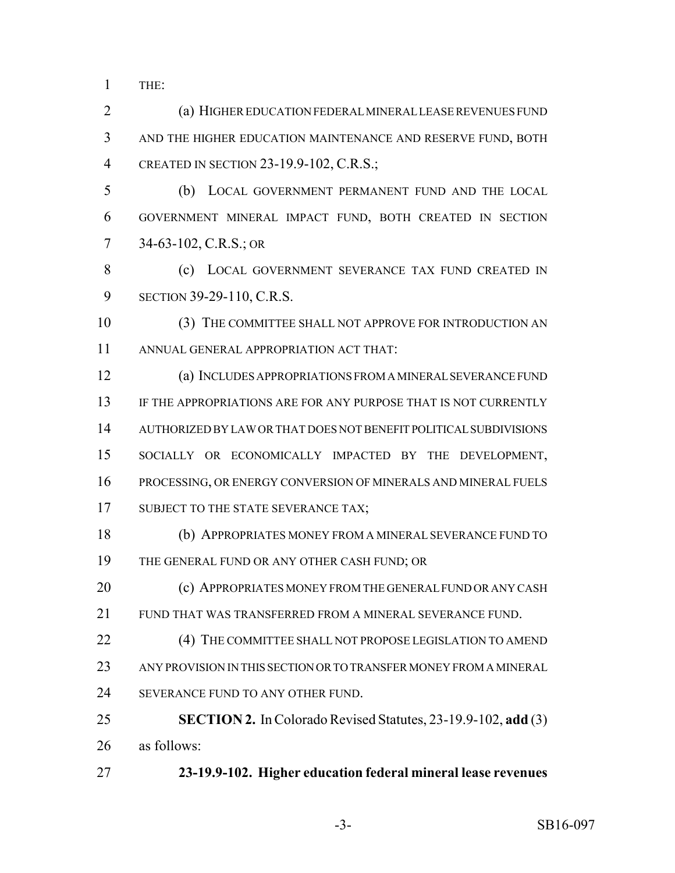THE:

 (a) HIGHER EDUCATION FEDERAL MINERAL LEASE REVENUES FUND AND THE HIGHER EDUCATION MAINTENANCE AND RESERVE FUND, BOTH CREATED IN SECTION 23-19.9-102, C.R.S.;

 (b) LOCAL GOVERNMENT PERMANENT FUND AND THE LOCAL GOVERNMENT MINERAL IMPACT FUND, BOTH CREATED IN SECTION 34-63-102, C.R.S.; OR

8 (c) LOCAL GOVERNMENT SEVERANCE TAX FUND CREATED IN SECTION 39-29-110, C.R.S.

 (3) THE COMMITTEE SHALL NOT APPROVE FOR INTRODUCTION AN ANNUAL GENERAL APPROPRIATION ACT THAT:

 (a) INCLUDES APPROPRIATIONS FROM A MINERAL SEVERANCE FUND IF THE APPROPRIATIONS ARE FOR ANY PURPOSE THAT IS NOT CURRENTLY AUTHORIZED BY LAW OR THAT DOES NOT BENEFIT POLITICAL SUBDIVISIONS SOCIALLY OR ECONOMICALLY IMPACTED BY THE DEVELOPMENT, PROCESSING, OR ENERGY CONVERSION OF MINERALS AND MINERAL FUELS 17 SUBJECT TO THE STATE SEVERANCE TAX;

 (b) APPROPRIATES MONEY FROM A MINERAL SEVERANCE FUND TO THE GENERAL FUND OR ANY OTHER CASH FUND; OR

**(c) APPROPRIATES MONEY FROM THE GENERAL FUND OR ANY CASH** FUND THAT WAS TRANSFERRED FROM A MINERAL SEVERANCE FUND.

22 (4) THE COMMITTEE SHALL NOT PROPOSE LEGISLATION TO AMEND ANY PROVISION IN THIS SECTION OR TO TRANSFER MONEY FROM A MINERAL 24 SEVERANCE FUND TO ANY OTHER FUND.

 **SECTION 2.** In Colorado Revised Statutes, 23-19.9-102, **add** (3) as follows:

**23-19.9-102. Higher education federal mineral lease revenues**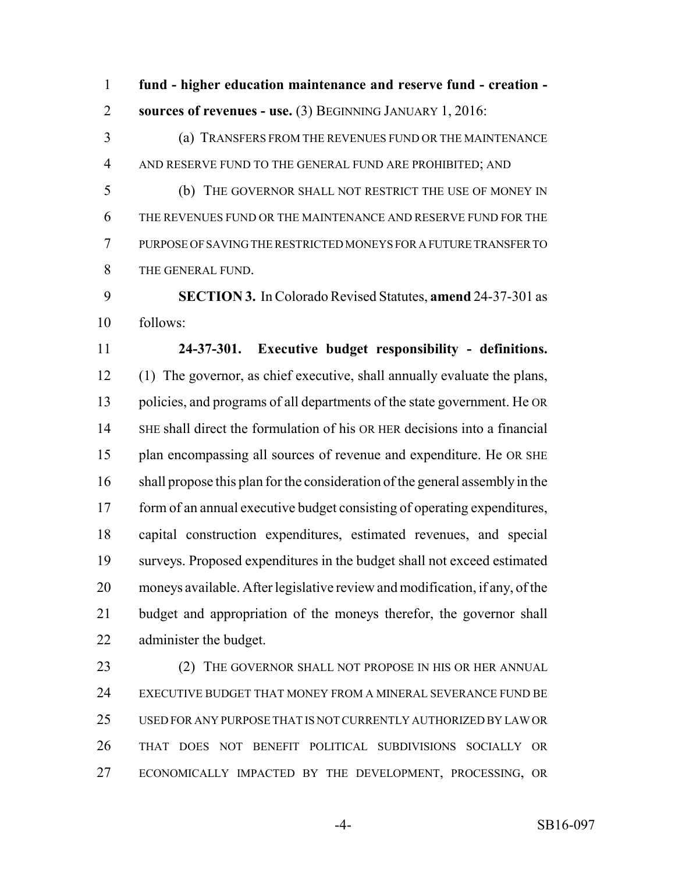**fund - higher education maintenance and reserve fund - creation - sources of revenues - use.** (3) BEGINNING JANUARY 1, 2016:

 (a) TRANSFERS FROM THE REVENUES FUND OR THE MAINTENANCE AND RESERVE FUND TO THE GENERAL FUND ARE PROHIBITED; AND

 (b) THE GOVERNOR SHALL NOT RESTRICT THE USE OF MONEY IN THE REVENUES FUND OR THE MAINTENANCE AND RESERVE FUND FOR THE PURPOSE OF SAVING THE RESTRICTED MONEYS FOR A FUTURE TRANSFER TO THE GENERAL FUND.

 **SECTION 3.** In Colorado Revised Statutes, **amend** 24-37-301 as follows:

 **24-37-301. Executive budget responsibility - definitions.** (1) The governor, as chief executive, shall annually evaluate the plans, policies, and programs of all departments of the state government. He OR SHE shall direct the formulation of his OR HER decisions into a financial plan encompassing all sources of revenue and expenditure. He OR SHE shall propose this plan for the consideration of the general assembly in the form of an annual executive budget consisting of operating expenditures, capital construction expenditures, estimated revenues, and special surveys. Proposed expenditures in the budget shall not exceed estimated moneys available. After legislative review and modification, if any, of the budget and appropriation of the moneys therefor, the governor shall administer the budget.

23 (2) THE GOVERNOR SHALL NOT PROPOSE IN HIS OR HER ANNUAL EXECUTIVE BUDGET THAT MONEY FROM A MINERAL SEVERANCE FUND BE USED FOR ANY PURPOSE THAT IS NOT CURRENTLY AUTHORIZED BY LAW OR THAT DOES NOT BENEFIT POLITICAL SUBDIVISIONS SOCIALLY OR ECONOMICALLY IMPACTED BY THE DEVELOPMENT, PROCESSING, OR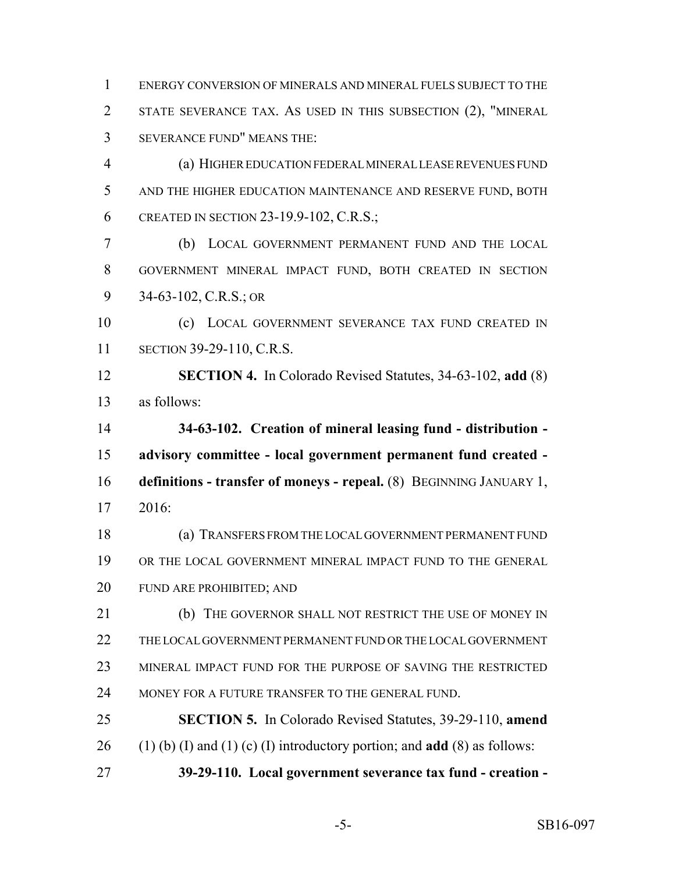ENERGY CONVERSION OF MINERALS AND MINERAL FUELS SUBJECT TO THE STATE SEVERANCE TAX. AS USED IN THIS SUBSECTION (2), "MINERAL SEVERANCE FUND" MEANS THE:

 (a) HIGHER EDUCATION FEDERAL MINERAL LEASE REVENUES FUND AND THE HIGHER EDUCATION MAINTENANCE AND RESERVE FUND, BOTH 6 CREATED IN SECTION 23-19.9-102, C.R.S.;

 (b) LOCAL GOVERNMENT PERMANENT FUND AND THE LOCAL GOVERNMENT MINERAL IMPACT FUND, BOTH CREATED IN SECTION 34-63-102, C.R.S.; OR

 (c) LOCAL GOVERNMENT SEVERANCE TAX FUND CREATED IN SECTION 39-29-110, C.R.S.

 **SECTION 4.** In Colorado Revised Statutes, 34-63-102, **add** (8) as follows:

 **34-63-102. Creation of mineral leasing fund - distribution - advisory committee - local government permanent fund created - definitions - transfer of moneys - repeal.** (8) BEGINNING JANUARY 1, 2016:

 (a) TRANSFERS FROM THE LOCAL GOVERNMENT PERMANENT FUND OR THE LOCAL GOVERNMENT MINERAL IMPACT FUND TO THE GENERAL FUND ARE PROHIBITED; AND

21 (b) THE GOVERNOR SHALL NOT RESTRICT THE USE OF MONEY IN THE LOCAL GOVERNMENT PERMANENT FUND OR THE LOCAL GOVERNMENT MINERAL IMPACT FUND FOR THE PURPOSE OF SAVING THE RESTRICTED 24 MONEY FOR A FUTURE TRANSFER TO THE GENERAL FUND.

 **SECTION 5.** In Colorado Revised Statutes, 39-29-110, **amend** 26 (1) (b) (I) and (1) (c) (I) introductory portion; and **add** (8) as follows:

**39-29-110. Local government severance tax fund - creation -**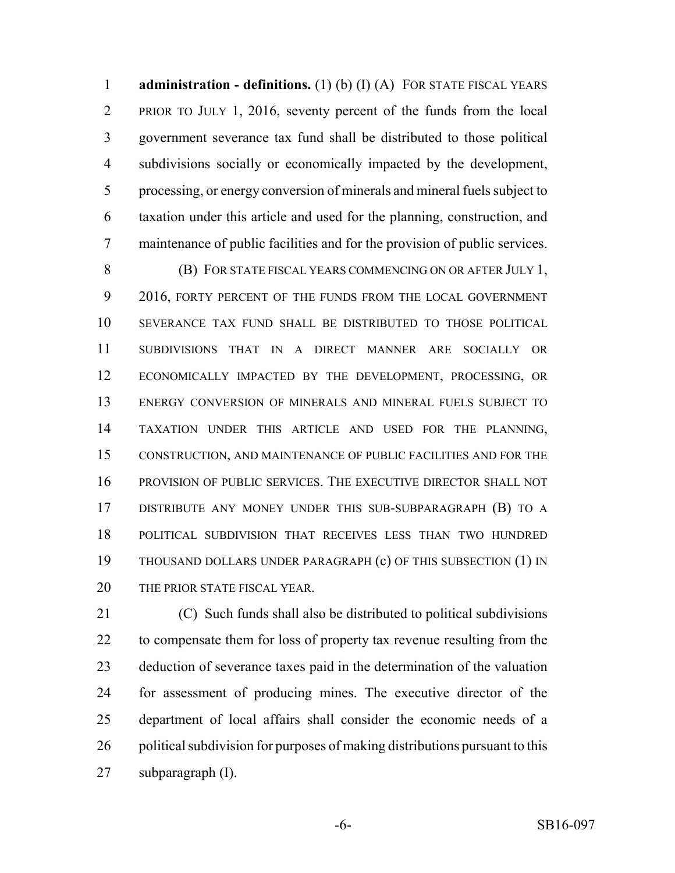**administration - definitions.** (1) (b) (I) (A) FOR STATE FISCAL YEARS PRIOR TO JULY 1, 2016, seventy percent of the funds from the local government severance tax fund shall be distributed to those political subdivisions socially or economically impacted by the development, processing, or energy conversion of minerals and mineral fuels subject to taxation under this article and used for the planning, construction, and maintenance of public facilities and for the provision of public services.

 (B) FOR STATE FISCAL YEARS COMMENCING ON OR AFTER JULY 1, 9 2016, FORTY PERCENT OF THE FUNDS FROM THE LOCAL GOVERNMENT SEVERANCE TAX FUND SHALL BE DISTRIBUTED TO THOSE POLITICAL SUBDIVISIONS THAT IN A DIRECT MANNER ARE SOCIALLY OR ECONOMICALLY IMPACTED BY THE DEVELOPMENT, PROCESSING, OR ENERGY CONVERSION OF MINERALS AND MINERAL FUELS SUBJECT TO TAXATION UNDER THIS ARTICLE AND USED FOR THE PLANNING, CONSTRUCTION, AND MAINTENANCE OF PUBLIC FACILITIES AND FOR THE PROVISION OF PUBLIC SERVICES. THE EXECUTIVE DIRECTOR SHALL NOT DISTRIBUTE ANY MONEY UNDER THIS SUB-SUBPARAGRAPH (B) TO A POLITICAL SUBDIVISION THAT RECEIVES LESS THAN TWO HUNDRED THOUSAND DOLLARS UNDER PARAGRAPH (c) OF THIS SUBSECTION (1) IN 20 THE PRIOR STATE FISCAL YEAR.

 (C) Such funds shall also be distributed to political subdivisions to compensate them for loss of property tax revenue resulting from the deduction of severance taxes paid in the determination of the valuation for assessment of producing mines. The executive director of the department of local affairs shall consider the economic needs of a 26 political subdivision for purposes of making distributions pursuant to this subparagraph (I).